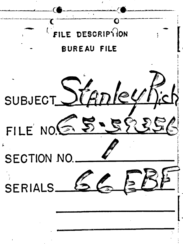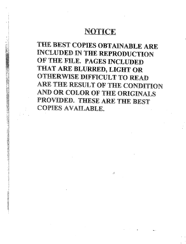# NOTICE

THE BEST COPIES OBTAINABLE ARE INCLUDED IN THE REPRODUCTION OF THE FILE. PAGES INCLUDED THAT ARE BLURRED, LIGHT OR OTHERWISE DIFFICULT TO READ ARE THE RESULT OF THE CONDITION AND OR COLOR OF THE ORIGINALS PROVIDED. THESE ARE THE BEST COPIES AVAILABLE.

À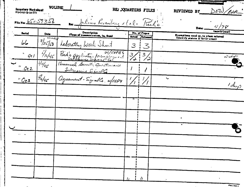|                                      | VOLUME<br><b>Inventory Worksheet</b><br><b>FUSICI (2-18-77)</b> |                                                      | HEI QUARTERS FILES            |               |                             |                           |                                                                                   | REVIEWED BY  | DEU |
|--------------------------------------|-----------------------------------------------------------------|------------------------------------------------------|-------------------------------|---------------|-----------------------------|---------------------------|-----------------------------------------------------------------------------------|--------------|-----|
| <b>File Nex <math>6515735</math></b> |                                                                 |                                                      | Julius Resemberg et al. Tucho |               |                             |                           | Date                                                                              |              |     |
| <b>Serial</b>                        | Date                                                            | <b>Description</b>                                   |                               |               | No. of Pages                |                           |                                                                                   | (month/year) |     |
|                                      | Kunded                                                          | (Type of communication, to, from)                    |                               | <b>Actual</b> | Released                    |                           | Exemptions used or, to whom referred<br><b>Ildentify statute if (b)(3) cited)</b> |              |     |
| مباحا                                | 8/25/50                                                         | Laboratory Work Sheet                                |                               | $\mathcal{S}$ | $\mathcal{Z}_{\mathcal{S}}$ |                           |                                                                                   |              |     |
| $Q_{c}$ /                            | $\frac{5}{16}{15}$                                              | Rich'o application for employment                    |                               | $\frac{3}{4}$ | $\mathbf{3}$                |                           |                                                                                   | بهمكن تسا    |     |
| $\frac{1}{2}$ Qe 2                   | $1^{5/15/45}$                                                   | Personnel Sunsity Questionaire<br>Submarine Signalle |                               |               |                             |                           |                                                                                   |              |     |
| " $Q$ e3                             | $\frac{2}{16}$ /45                                              | Agreement-Signallo W/00P4                            |                               |               |                             | $\mathbf{r}_{\mathbf{q}}$ |                                                                                   |              |     |
|                                      |                                                                 |                                                      |                               |               |                             |                           |                                                                                   |              |     |
|                                      |                                                                 |                                                      |                               | 4             |                             |                           |                                                                                   |              |     |
|                                      |                                                                 |                                                      |                               |               |                             |                           |                                                                                   |              |     |
|                                      |                                                                 |                                                      |                               |               |                             |                           |                                                                                   |              |     |
|                                      |                                                                 |                                                      |                               |               |                             |                           |                                                                                   |              |     |
|                                      |                                                                 |                                                      |                               |               |                             |                           |                                                                                   |              |     |
|                                      |                                                                 |                                                      |                               |               |                             |                           |                                                                                   |              |     |
|                                      |                                                                 |                                                      |                               |               |                             |                           |                                                                                   |              |     |
|                                      |                                                                 |                                                      |                               |               |                             |                           |                                                                                   |              |     |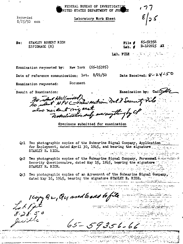FEDERAL BUREAU OF INVESTIGATI NITED STATES DEPARTMENT OF JUS

Recorded  $8/25/50$  ccm

Laboratory Work Sheet

STANLEY ROBERT RICH Re: ESPIONAGE (R)

| Find 1 | 65–59356    |  |
|--------|-------------|--|
| Iah. ∉ | D-120915 AX |  |

LAB. FILE

Date Received: 8-24

New York (65-15395) Examination requested by:

Date of reference communication: let. 8/21/50

Document Examination requested:

Result of Examination:

Examination by: Cadigan

No come Hall miled)<br>No colent HPUC - mew section not I Security File also noident mig seet. windication sub everanything by Cf

Specimens submitted for examination

- Two photographic copies of the Submarine Signal Company, Application Qcl for Employment, dated April 30, 1945, and bearing the signature STANLEY R. RICH.
- Two photographic copies of the Submarine Signal Company. Personnel 2 and address  $Qc2$ Security Questionnaire, dated May 15, 1945, bearing the signature: STANLEY R. RICH.

 $65 - 59356 - 66$ 

Two photographic copies of an Agreement of the Submarine Signal Company, dated May 16, 1945, bearing the signature STANLEY R. RICH.

the signature STAL<br>1 Copy B2, Qc1 used to each to file<br>8-28-50<br>Juille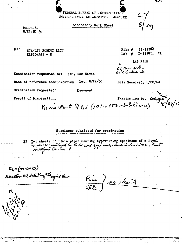FEDERAL BUREAU OF INVESTIGATION UNITED STATES DEPARTMENT OF JUSTICE

Laboratory Work Sheet

**RECORDED**  $8/2$  3/50 %

 $Re:$ STANLEY ROBERT RICH **ESFIONAGE - R** 

 $8/2n$ 

65-59356  $Pile$  $D-121051 - 2X$ Lab.  $\bar{x}$ 

LAB FILE

Date Received: 8/28/50

ce new york cccccudiand

Examination requested by: SAC, New Haven

Date of reference communication: let. 8/24/50

Examination requested:

Document

Result of Examination:

Examination by: K, no colent  $Q$  4, 5 (101-2483 - Solell case)

## Specimens submitted for examination

Two sheets of plain paper bearing typewriting specimens of a Royal KI Iyperritor sutclised by Fadio and appliances sustributore Inc., East  $Q_{9,5}(101 - 2483)$ N.Walter let doled by ? Hoysid Low

7~12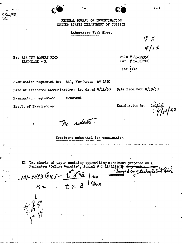FEDERAL BUREAU OF INVESTIGATION UNITED STATES DEPARTMENT OF JUSTICE

## Laboratory Work Sheet

 $9x$  $9/11$ 

File # 65-59356 Lab. # D-121706

Date Beceived: 9/13/50

Lab File

Examination requested by: SAC, New Haven 65-1367

Date of reference communication: let dated 9/11/50

Document Examination requested:

Result of Examination:

Ì

Re: STAKIEY ROEERT RICH

 $EST XAGE - R$ 

ዓ/ጔፈ/50 pjr

Examination by:

 $\sqrt{\tilde{q}}/_{\tilde{q}}$ 4/50

no ideas.

Specimens submitted for examination

K2 Two sheets of paper containg typewriting specimens prepared on a Remington "DeLuxe Remette", Serial # C-1136285/1 Stanley Robert

 $-101 - 2483$  Qy, 5- $K<sub>2</sub>$   $t.a.d$  likewa



k)

 $9 - 12$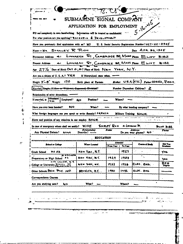|                                                                                                                                                                                     | SUBMARINE SIGNAL COMPANY                         |                   |                 |                                                       |                                         |
|-------------------------------------------------------------------------------------------------------------------------------------------------------------------------------------|--------------------------------------------------|-------------------|-----------------|-------------------------------------------------------|-----------------------------------------|
|                                                                                                                                                                                     | APPLICATION FOR EMPLOYMENT                       |                   |                 | $5 - 16 - 145$                                        |                                         |
| Fill our completely in own hardwriting. Information will be treated as confidential.                                                                                                |                                                  |                   |                 |                                                       |                                         |
| For what position are you applying? REVEARCH & DEVELOPMENT                                                                                                                          |                                                  |                   |                 |                                                       |                                         |
| Have you previously filed application with as? MO                                                                                                                                   |                                                  |                   |                 | U. S. Social Security Regimention Number? 027-22-0945 |                                         |
| $Name-Mn$ . STANLEY R. RICH                                                                                                                                                         |                                                  |                   |                 | Dute APR. BO. 1945                                    |                                         |
| -61<br>Permanent Address                                                                                                                                                            | LINNAEAN ST., CAMBROGE 38, MASS. Phone ELOY 3182 |                   |                 |                                                       |                                         |
| Present Address<br>ا ساھ                                                                                                                                                            | LINNAEAN ST, CAMBRIDGE 88, MASS POOR ELIOT BIBE  |                   |                 |                                                       |                                         |
| Age $27\,\mathrm{/g}$ Date of Birth Oct 21, 1917 Place of Birth Naw York, N.Y.                                                                                                      |                                                  |                   |                 |                                                       |                                         |
| Are you a citizen of U.S.A.? YES                                                                                                                                                    | If Naturalized, state when.                      |                   |                 |                                                       |                                         |
| Height $5 - 5$ Weight<br>- 170                                                                                                                                                      | Birth place of Partners                          |                   |                 | Nother U.S.A. (N.Y.C.) Father ODESSA, RUSSIA          |                                         |
| Married Single, Mildow or Widower, Separated, Diverced?                                                                                                                             |                                                  |                   |                 | Number Dependent Children?                            |                                         |
| Relationship of other dependents.                                                                                                                                                   |                                                  |                   |                 |                                                       |                                         |
| <b>Hustand</b> (Employed)<br>I married is                                                                                                                                           | Positico?<br><b>No</b>                           |                   | Where?          |                                                       |                                         |
| Wife                                                                                                                                                                                |                                                  |                   |                 |                                                       |                                         |
| What foreign languages can you speak or write fluently? FRENCH                                                                                                                      |                                                  |                   |                 | By what bonding company?<br>Military Training Nonet   |                                         |
| Name and position of any relatives in our employ. $N \in \mathbb{R}$<br>In case of emergency whom shall we notify?                                                                  | WIFE                                             | <b>SHIREY RKH</b> |                 | 41 LINNACAN DE                                        | <b>EUIT 3122</b>                        |
| Any Physical Defects?<br>NONE                                                                                                                                                       | Relationship<br>Describe? —                      | Nunz              |                 | <b>Address</b><br>Do you wear glasses? NJO            |                                         |
|                                                                                                                                                                                     | <b>EDUCATION</b>                                 |                   |                 |                                                       |                                         |
| School or College                                                                                                                                                                   | Where Located                                    | <b>From Year</b>  | اساسعده         | Course of States                                      | Phone<br>Die Yap                        |
| 7.5. SZ                                                                                                                                                                             |                                                  |                   | To Year<br>1927 | ٠                                                     |                                         |
| <b>DE PIBLION</b><br>. .                                                                                                                                                            | New York, N.Y.<br>New Yiza, N.Y.                 | 1929              | 1933            | ÷.                                                    |                                         |
| SITT CALLEDE, N.Y.                                                                                                                                                                  | NEW YIEK, NE.                                    | 1933              | 4291            | ELSC. ENG.                                            |                                         |
|                                                                                                                                                                                     | BRUCKN, NY.                                      | 1940              | 1442            | ELEC. ENL.                                            |                                         |
|                                                                                                                                                                                     |                                                  |                   |                 |                                                       |                                         |
| <b>Grade School</b><br>Preparatory or High School<br>College or University SCHOOL OF<br>Other Schools BKI-N. Third. 1NST.<br>Correspondence Courses<br>Are you studying now?<br>No. | What?                                            |                   | Where?          |                                                       |                                         |
|                                                                                                                                                                                     |                                                  |                   |                 |                                                       |                                         |
|                                                                                                                                                                                     |                                                  |                   |                 |                                                       | Craduse<br>Yra.<br>YES<br>Bee<br>Degree |
|                                                                                                                                                                                     |                                                  |                   |                 | جند                                                   |                                         |

ļ  $\frac{1}{2}$ 

 $\pm$ 

.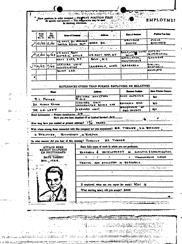| Te.<br>From<br>Date<br>Date<br>No Yr.<br>Mo Yr.                                    | <b>Shape of Company</b>                     |                   |                                                                                                                                                                       | <b>Elect of Business</b>                   | Patrice Yan Hate          |
|------------------------------------------------------------------------------------|---------------------------------------------|-------------------|-----------------------------------------------------------------------------------------------------------------------------------------------------------------------|--------------------------------------------|---------------------------|
| 10/38 2/40                                                                         | US NAVY, BU ORDNANLE<br>TORPON PESIEN SECT. |                   | WASH. D.C.                                                                                                                                                            | ORPAANCE<br>DESISH                         | <b>JUNIOR</b><br>ERPINEES |
|                                                                                    |                                             | $\mathbb{R}^n$ at | والموالية والراجع والمرابط المتوارد                                                                                                                                   |                                            |                           |
| 2240443                                                                            | <b>US NAVY RADO</b><br>MATERIAL DEFILE      |                   | U.S. NAVY YARD, N.Y.                                                                                                                                                  | RADIO, UNDE WATER OUTSIDE<br><b>TOURD</b>  | <b>SUPER HEINE</b>        |
|                                                                                    | WAVY YARD, N.Y.                             |                   | <b>BIKLAI</b> . , <b>N.Y.</b>                                                                                                                                         | INSTALLATION,<br>MAINTENANCE.              | ENGINEER                  |
| 14/43<br>15/45                                                                     | HARVARD UNIV.<br>NNDCRWATER                 |                   | LAMBRIDE & MACC.                                                                                                                                                      | <b>LASEARE</b>                             | Bre-WL<br><u>RESEARCH</u> |
|                                                                                    | SOUND LAB.                                  |                   |                                                                                                                                                                       |                                            | ASSOCIATE                 |
|                                                                                    |                                             |                   |                                                                                                                                                                       |                                            |                           |
|                                                                                    |                                             |                   | REFERENCES OTHER THAN FORMER EMPLOYERS OR RELATIVES                                                                                                                   |                                            |                           |
| <b>Now</b>                                                                         |                                             |                   | معطفت                                                                                                                                                                 | <b>Thuriness Ponition</b>                  | State Whether Relative    |
| <b>R.L. PETTER</b>                                                                 |                                             | IR M.O.           | NEW VIRK NAVYNARD                                                                                                                                                     | CHIPF INVECTOR                             | No                        |
|                                                                                    |                                             |                   |                                                                                                                                                                       |                                            |                           |
|                                                                                    |                                             | H ARVARD.         | UNIV.                                                                                                                                                                 | RESEARCH ASSO                              | NO.                       |
| DZ. HARNO KNAUS<br>DR. L.D. LEET<br>Draft Information - Present classification. 2B |                                             |                   | NADERWATER SOUND LAP<br>A ARYARD AMIN.                                                                                                                                | <b>RROFFESSOR OF</b><br><b>GEO-THYSICE</b> | alo.                      |
| How long have you resided at present address? $1\frac{1}{2}$                       |                                             |                   | Have you ever been classified 4F or Limited Service?fxt<br>YEARS.<br>With whom among those connected with this company are you acquainted? E.E. TVENER., V.H. EEHIPPE |                                            |                           |
| 11. 子どと げんをたし                                                                      | RICHARDSON N. RIORDAN                       |                   |                                                                                                                                                                       |                                            |                           |
| In what manner did you hear of this opening? THROU+H                               |                                             |                   | EE TOENER                                                                                                                                                             |                                            |                           |
| attach fiere                                                                       |                                             |                   | State fully types of work in which you are proficient.                                                                                                                |                                            |                           |
| RECENT SNAPSHOT<br>OR PHOTOGRAPH                                                   |                                             | RE SEARCH         |                                                                                                                                                                       | EVELOTMENT ON : ALONSTICS & CONNON KATION  |                           |
| DATE TAKEN?                                                                        |                                             |                   |                                                                                                                                                                       |                                            | TRANSMISSION LINES.       |
| .Nov. <sub>1</sub> 1944.                                                           |                                             |                   | TESTING AND EVALUATION IN REFEARCH.                                                                                                                                   |                                            |                           |
|                                                                                    |                                             |                   |                                                                                                                                                                       |                                            | بالتصبية ووساعهم بالدب    |
|                                                                                    |                                             |                   | If employed, when can you report for work? MAY 16                                                                                                                     |                                            |                           |
|                                                                                    |                                             |                   | What starting salary will you accept? 6000                                                                                                                            |                                            |                           |

بالمعوج فيها بها  $\label{eq:4} \begin{aligned} \mathcal{L}_{\text{eff}}^{\text{max}} = \frac{1}{2} \int_{\mathcal{M}} \mathcal{L}_{\text{eff}}^{\text{max}} \, \mathcal{L}_{\text{eff}}^{\text{max}} \, \mathcal{L}_{\text{eff}}^{\text{max}} \, \mathcal{L}_{\text{eff}}^{\text{max}} \, \mathcal{L}_{\text{eff}}^{\text{max}} \, \mathcal{L}_{\text{eff}}^{\text{max}} \, \mathcal{L}_{\text{eff}}^{\text{max}} \, \mathcal{L}_{\text{eff}}^{\text{max}} \, \mathcal{L}_{\text{eff}}^{\text{max}} \, \mathcal$ 

أتبادي

**A PARA A CARACTER** en la la la partie de la completa del control de la completa de la completa de la completa de la completa de l<br>La completa de la completa de la completa de la completa de la completa de la completa de la completa de la co دي.<br>سواجب جوري .eritme and

 $\bar{\zeta}$ 

 $\sim 10^{11}$  .

ر<br>مان دارالاروپایی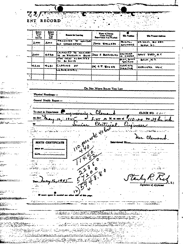| प् <i>र, हर</i> ू |  |  |
|-------------------|--|--|
| ENT RECC          |  |  |
|                   |  |  |

 $\mathcal{A}$ 

|                                                                                                           | ENT                              | <b>RECORD</b>                                                                                |                                                                                                                                                                                                                                  |                                                           |                                      |                              |
|-----------------------------------------------------------------------------------------------------------|----------------------------------|----------------------------------------------------------------------------------------------|----------------------------------------------------------------------------------------------------------------------------------------------------------------------------------------------------------------------------------|-----------------------------------------------------------|--------------------------------------|------------------------------|
|                                                                                                           |                                  | Sehry                                                                                        |                                                                                                                                                                                                                                  |                                                           |                                      |                              |
|                                                                                                           | Salary<br>Waa<br>You<br>Sored    | Via<br>Lat                                                                                   | 'Reace for Lucving                                                                                                                                                                                                               | Nesse of Person<br>Under Winger<br>Separvision You Worked | <b>Ela Pontina</b>                   | 'His Presex Address          |
|                                                                                                           | ೭ೲ                               | ەمع                                                                                          | TRANSFER TO NEWYORK<br>цьо <i>- Сомыні ве</i> гіркі                                                                                                                                                                              | JONN STEERATO                                             | <b>TRINGTON L</b><br><b>BAGINEER</b> | KE NAVI, BU OBA<br>NAM. D.C. |
|                                                                                                           |                                  |                                                                                              | $\mathcal{F}=\mathcal{F}_{\mathcal{F}}$<br>CELAASED TO HARVARY                                                                                                                                                                   |                                                           |                                      |                              |
|                                                                                                           | 2000                             | 4038                                                                                         | TO SO RESEARCH BASES JOHN F. BIDENBURG<br>UPON IDEAS SUBMITTED                                                                                                                                                                   |                                                           | <b>ENGINARE</b><br>IN CHARSE         | NAVY YARD, N.C.              |
|                                                                                                           |                                  |                                                                                              | TO AU SHIPS                                                                                                                                                                                                                      |                                                           | <b>RADIO, SUMMO</b><br>SPETIAN       | BKLN, N.V.                   |
|                                                                                                           | أطكوه                            | 7680                                                                                         | CLASING OF<br>ABORATIEY.                                                                                                                                                                                                         | DR. C.T. BOKER                                            | <b>ASSOCIATE</b><br><b>PIRECTIR</b>  | HARVARD, UNIV.               |
|                                                                                                           |                                  |                                                                                              |                                                                                                                                                                                                                                  |                                                           |                                      |                              |
|                                                                                                           |                                  |                                                                                              |                                                                                                                                                                                                                                  |                                                           |                                      |                              |
|                                                                                                           |                                  | $\mathcal{R}$                                                                                | $\sim$ $\sim$<br>√.                                                                                                                                                                                                              | Do Nor Warry Brace Two Lore                               |                                      |                              |
|                                                                                                           |                                  | Physical Handicaps-                                                                          |                                                                                                                                                                                                                                  |                                                           |                                      |                              |
| المناسكتك                                                                                                 |                                  | General Health Report -                                                                      |                                                                                                                                                                                                                                  |                                                           |                                      |                              |
| <b>CILE</b> -                                                                                             |                                  |                                                                                              |                                                                                                                                                                                                                                  |                                                           |                                      |                              |
| مستوجب ومواردتهم                                                                                          |                                  | To start in Department                                                                       |                                                                                                                                                                                                                                  | lles                                                      |                                      |                              |
|                                                                                                           | m dare                           |                                                                                              | ard rathanne                                                                                                                                                                                                                     |                                                           |                                      | CLOCK NO. $E \phi \in C$     |
| 25. <del>.</del>                                                                                          |                                  |                                                                                              | 11                                                                                                                                                                                                                               | M. at rate of                                             | 70. .                                | $P = 29$                     |
|                                                                                                           |                                  |                                                                                              |                                                                                                                                                                                                                                  | Clectrical                                                |                                      |                              |
|                                                                                                           |                                  |                                                                                              |                                                                                                                                                                                                                                  |                                                           |                                      |                              |
|                                                                                                           |                                  |                                                                                              |                                                                                                                                                                                                                                  |                                                           |                                      | ಾತ್ರಿಗಳು                     |
|                                                                                                           |                                  |                                                                                              |                                                                                                                                                                                                                                  |                                                           |                                      | ur. Clea                     |
|                                                                                                           |                                  | <b>EURTH CERTIFICATE</b>                                                                     |                                                                                                                                                                                                                                  |                                                           | Interviewed By <sub>con</sub>        |                              |
|                                                                                                           |                                  |                                                                                              |                                                                                                                                                                                                                                  |                                                           |                                      |                              |
|                                                                                                           | RATI                             | وتوصين والقصاري                                                                              | 나                                                                                                                                                                                                                                | 110 per with 40 line<br>O                                 |                                      |                              |
|                                                                                                           |                                  |                                                                                              |                                                                                                                                                                                                                                  |                                                           |                                      |                              |
|                                                                                                           | -75<br>.                         |                                                                                              |                                                                                                                                                                                                                                  |                                                           |                                      |                              |
|                                                                                                           | والعدالى                         |                                                                                              |                                                                                                                                                                                                                                  |                                                           |                                      |                              |
|                                                                                                           | .<br>ι.                          |                                                                                              |                                                                                                                                                                                                                                  |                                                           |                                      |                              |
|                                                                                                           | Dutc                             |                                                                                              |                                                                                                                                                                                                                                  |                                                           |                                      |                              |
|                                                                                                           | سي                               |                                                                                              |                                                                                                                                                                                                                                  |                                                           |                                      |                              |
|                                                                                                           |                                  |                                                                                              |                                                                                                                                                                                                                                  |                                                           |                                      |                              |
| $-5.15 - 3.5$                                                                                             |                                  |                                                                                              |                                                                                                                                                                                                                                  |                                                           |                                      |                              |
|                                                                                                           | regular power of group of the    |                                                                                              |                                                                                                                                                                                                                                  |                                                           |                                      |                              |
|                                                                                                           |                                  |                                                                                              |                                                                                                                                                                                                                                  |                                                           |                                      |                              |
|                                                                                                           |                                  |                                                                                              | ACCEPTED MARKED MARKED                                                                                                                                                                                                           |                                                           | Tista L                              |                              |
| ۔ سب عد<br><u>rithilir</u><br>en.<br>en de la partie de la partie<br><b>phromecom</b><br>SAMBURGA DA      |                                  |                                                                                              | er i kalendering dan kaman kaman dan kaman di sebagai dan dan dari 1990. Dan 1990 dan 1990 dan 1990 dan 1990 d<br>Dan kalendaran dan kaman dan terdapat dan terdapat dan disebut dari 1990 dan 1990 dan 1990 dan 1990 dan 1990 d |                                                           |                                      |                              |
|                                                                                                           |                                  |                                                                                              |                                                                                                                                                                                                                                  |                                                           |                                      |                              |
| en 1979 (f. 1979)<br>1982 - George Stadt, Amerikaansk politik<br>1982 - George Stadt, Amerikaansk politik | Та жең <del>езді</del> н атамбат | أتقدم والمحولات والمستعين والمستحدث والمحاربة والمتواطئ المتواطن<br>lencato in contemporario | 지금지금 (1989년년 2019년 10월 6일 6월 6일 10월 10월                                                                                                                                                                                          | مانیکانی، عینی و دنیای این این دی این این داردی در شناست  | الرضف كأوجزت أجولاء                  |                              |

نصحب

 $\,$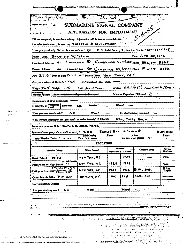| $\mathcal{L}_{\mathbf{X}}$ , ,                                                                                                                                       |                                                                                                                        |                                    |               |                                                           |                                             |
|----------------------------------------------------------------------------------------------------------------------------------------------------------------------|------------------------------------------------------------------------------------------------------------------------|------------------------------------|---------------|-----------------------------------------------------------|---------------------------------------------|
| <b>DI MÒ, 627</b>                                                                                                                                                    | SUBMARINE SIGNAL COMPANY                                                                                               |                                    |               |                                                           |                                             |
|                                                                                                                                                                      | APPLICATION FOR EMPLOYMENT                                                                                             |                                    |               | $5 - 16 - 45$                                             |                                             |
|                                                                                                                                                                      |                                                                                                                        |                                    |               |                                                           |                                             |
| Fill out completely in own handwriting. Information will be treated as confidential.<br>For what position are you applying? RESEARCH & DEVELOPMENT                   |                                                                                                                        |                                    |               |                                                           |                                             |
| Have you previously filed application with as? NO                                                                                                                    |                                                                                                                        |                                    |               | U. S. Social Security Registration Number? 027-22-0945    |                                             |
| NEE-NR. STANLEY R. RICH                                                                                                                                              |                                                                                                                        |                                    |               | Dee $Arr.30,1945$                                         |                                             |
| $+1$<br>Permanent Address                                                                                                                                            | LINNAEAN ST., CAMBROGE 38, MASS. Phone ELOT 3182                                                                       |                                    |               |                                                           |                                             |
|                                                                                                                                                                      |                                                                                                                        |                                    |               |                                                           |                                             |
| Prescut Address<br>≁≀                                                                                                                                                | LINNAEAN ST, CAMBRIDGE 88, MASS Phone ELIOT 8182                                                                       |                                    |               |                                                           |                                             |
| Are $27\,\%$ Date of Birth Oct $24,647$ Place of Birth Naw Yorky, N.Y.                                                                                               |                                                                                                                        |                                    |               |                                                           |                                             |
| Are you a citizen of U.S. A.P. YES                                                                                                                                   | If Naturalized state when                                                                                              |                                    |               |                                                           |                                             |
| 170<br>Height 5'-8' Weight                                                                                                                                           | Birth place of Partnis                                                                                                 |                                    |               | $M_{other}$ U.S.A.(N.Y.C.) $F_{other}$ ODESSA, $R$ USSIA. |                                             |
| Married   Single, Widow or Widower, Separated, Diverced?                                                                                                             |                                                                                                                        |                                    |               | Number Dependent Children? 2                              |                                             |
| Relationship of other dependents. "                                                                                                                                  |                                                                                                                        |                                    |               |                                                           |                                             |
| <del>) Studend</del><br>Employed?<br>If married, is<br><b>Wife</b>                                                                                                   | Position?<br>No.                                                                                                       |                                    | Wart?         |                                                           |                                             |
| NO<br>Have you ever been bonded?<br>What foreign languages can you speak or write finestly? FRENCH                                                                   | Wan?                                                                                                                   |                                    |               | By what honding company?<br>Nilany Training NONE.         | and the con-                                |
|                                                                                                                                                                      | WIFE<br><b>Relationship</b>                                                                                            | <b>SHIRLEY RICH</b><br><b>Name</b> |               | $A$ i Linimacan $X$<br>Addreu                             | Phone                                       |
| Any Physical Defects?<br>NDNE                                                                                                                                        | Describe? -<br><b>EDUCATION</b>                                                                                        |                                    |               | Do you wear glasses? NO                                   |                                             |
|                                                                                                                                                                      | Where Locking                                                                                                          |                                    | Amaded        |                                                           |                                             |
| School or College<br>الادعاء سر<br>$\sim$ $\sim$<br>$\sim 100$                                                                                                       |                                                                                                                        | From Year                          | To Year       | <u>ਕਰ - ਜ</u>                                             |                                             |
| 75.52<br>DE PIRCUATOR                                                                                                                                                | New York, N.Y.                                                                                                         |                                    | 1929          | للمراسيس المراجع                                          | Ym.                                         |
| 85.<br>EITS CHUCHE, N.Y.                                                                                                                                             | New York, N.Y.                                                                                                         | 1929                               | 1933          | $\mathbb{R}^*$ for $\mathbb{R}$                           | YÆä                                         |
|                                                                                                                                                                      | NEW YORK, NE.                                                                                                          | 1733                               | 1938          | ELEC. ENG.                                                |                                             |
|                                                                                                                                                                      | BRHAYN, NY.                                                                                                            | 1940                               | 1442          | ELEC. ENS.                                                |                                             |
| Name and position of any relatives in our employ. N & N 度<br>Grade School<br>Preparatory or High School<br>College or University SCHAOL OF<br>Correspondence Courses |                                                                                                                        |                                    |               |                                                           | そいげ ろぼと<br>Die You<br>Crome<br>82 E<br>Dare |
| Are you studying now?<br>No.                                                                                                                                         | W <sup>2</sup>                                                                                                         |                                    | Where?        |                                                           | ٠                                           |
| $\sim$ $\sim$ $\sim$<br>للمستعمل والمتحالية                                                                                                                          |                                                                                                                        | $\frac{1}{2}$ and $\frac{1}{2}$    | $\sim 100$ km | عاملات المراري المتعرب                                    |                                             |
| In case of emergency whom shall we notify?<br>Other Schools BASH, THAY, 1977.                                                                                        |                                                                                                                        |                                    |               |                                                           |                                             |
| للمستقد مدماج مستستستهم التوم بدريانه بالنبا                                                                                                                         |                                                                                                                        | مارد كالمتحد بمحييتهم يتعتبر مهارب |               | سمي الوزيرة الأنورية المجودين<br><b>K. 2555</b>           |                                             |
|                                                                                                                                                                      |                                                                                                                        |                                    |               |                                                           |                                             |
|                                                                                                                                                                      | <u> "Maria and Andrews and American Control of American Control of American Control of American American Control o</u> |                                    |               |                                                           |                                             |
|                                                                                                                                                                      |                                                                                                                        |                                    |               |                                                           |                                             |

المدينة المحاولة المدينة المتحدة المدينة المحاولة المحاولة المحاولة المحاولة المحاولة المحاولة المحاولة المحاو<br>المحاولة المحاولة المحاولة المحاولة المحاولة المحاولة المحاولة المحاولة المحاولة المحاولة المحاولة المحاولة ال

 $\frac{1}{2}$  $\mathbf{M}^{(n)}$  and  $\mathbf{M}^{(n)}$ 

 $\mathbb{E}[\mathbb{E}^{\mathbb{E}}]$  $\mathcal{P}^{(1)}$ 

بداعتك ودابلتي يعهر

الارام كالتقييم والليا

 $\sim$ 

n stadium and de self and de self and the self and the self and and and the self of the self of the self of the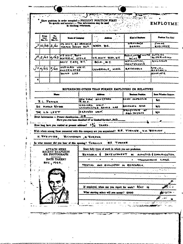|                                                                                                   | ta checking references.     | Show positions in order ecupied - PRESENT POSITION FIRST<br>Be specific and accurate $-$ This information may be used $-$ - $-$ |                                                       | EMPLOYME:                  |
|---------------------------------------------------------------------------------------------------|-----------------------------|---------------------------------------------------------------------------------------------------------------------------------|-------------------------------------------------------|----------------------------|
| Frum<br>τ.<br>Dan<br>Mo Yr.<br><b>Duc</b>                                                         | <b>Name of Company</b>      |                                                                                                                                 | <b>East of Depletes</b>                               | Position You Hald          |
| Ma Yr.                                                                                            | US NAVY, BU ORDHANG         |                                                                                                                                 | ORIAAICE                                              | <b>TIMIAE</b>              |
| j10/38 2/40                                                                                       | TORPEDO DESIGN BLCT.        | WASH D.C.                                                                                                                       | アデビオの                                                 | Enriness.                  |
| $A_12/40$ 4/43 Marchine DFCHE                                                                     | P.S.NAVE. RAMP              | U.S. NAVY YATS, N.Y.                                                                                                            | RADIO, UNDER WATER OUTSIDE                            | <b>SUPER VISINAL</b>       |
|                                                                                                   | MAVY YARD, N.Y.             | <b>BKLN , SLY.</b>                                                                                                              | <b>SOU HIS</b><br>INSTALLATION,<br><b>MAINTENANCE</b> | ENGINEER                   |
| 73<br>4/43<br>5/45                                                                                | HARVARD UNIV.<br>UNDERWATER | CAMBRIDLE, MACC.                                                                                                                | RESEARTH                                              | うたんしゅん<br>我たちたぬ我の中。        |
|                                                                                                   | SOUND LAS.                  |                                                                                                                                 |                                                       | ASSOCIATE                  |
|                                                                                                   |                             |                                                                                                                                 |                                                       |                            |
|                                                                                                   |                             | REFERENCES OTHER THAN PORMER EMPLOYERS OR RELATIVES                                                                             |                                                       |                            |
| <b>News</b>                                                                                       |                             | مستقف                                                                                                                           | Trainm Prakin                                         | Sure Whether Relative      |
| <b>R.L. Patres</b>                                                                                |                             | NEW YING WAVEYARD                                                                                                               | CHIEF INIPECTUR                                       | ыo                         |
| DR. HARND KNAME                                                                                   | ГR . М. О.                  | <b>INARVARS DAIV.</b><br>UNDERWATER SOUND LAB                                                                                   | RESEARCH ASSO                                         | uo                         |
| <b>DR. L.D. LEET</b>                                                                              |                             | INARVARD ONIV.                                                                                                                  | FROFFISCOR OF<br><b>GEO-THYSICL</b>                   | No.                        |
| Draft Information -- Present classification. $\frac{2.15}{1.5}$                                   |                             | Flave you ever hom classified 4F or Limited Service?IN.D                                                                        |                                                       |                            |
| How long have you resided at present address? $1\frac{d}{dx}$ YEARS.                              |                             |                                                                                                                                 |                                                       |                            |
| With whom among those connected with this company are you acquainted? E.E. TWENER., V.H. BENISFE. |                             |                                                                                                                                 |                                                       |                            |
| H. 子F# IFF BR .                                                                                   | RICHAEDEON , N. RIORDAN.    |                                                                                                                                 |                                                       |                            |
| In what manner did you hear of this opening? Twinous w                                            |                             | <b>EE TORNER</b>                                                                                                                |                                                       |                            |
| ATTACH HERE                                                                                       |                             | State fully types of work in which you are proficient.                                                                          |                                                       |                            |
| RECENT SNAPSHOT<br>OR PHOTOGRAPH                                                                  | RESEARCH                    | DEVELITMENT                                                                                                                     |                                                       | ALOUSTICS & COMMUNICATION. |
| DATE TAKEN?<br>Nov., 1944.                                                                        |                             |                                                                                                                                 | TRANSMISSION                                          | LINCS.                     |
|                                                                                                   | TESTING                     | AND EVALUATION IN RESEARCH.                                                                                                     |                                                       |                            |
|                                                                                                   |                             |                                                                                                                                 |                                                       |                            |
|                                                                                                   |                             |                                                                                                                                 |                                                       |                            |
|                                                                                                   |                             | If employed, when can you report for work? MAY 16                                                                               |                                                       |                            |
|                                                                                                   |                             | What starting salary will you accept? 6000                                                                                      |                                                       |                            |
|                                                                                                   |                             |                                                                                                                                 |                                                       |                            |
|                                                                                                   |                             |                                                                                                                                 |                                                       |                            |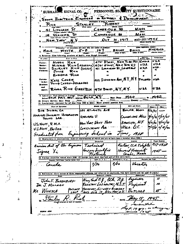SUBMARISE SIGNAL CO. PERSONNEL SEX TTY QUESTIONNAIRE SENA ELECTRICAL ENGINEER - on Re search **MENT** STANLEY  $O$ *WERT*  ${\bf R}$ ich Sт MASS MERIDGE 30 LINNARA CAMBRIDGE 50 Mass i B WALKEI 1917 ϽϲϮ **Brand NEW YARK**  $\overline{1}$  and  $\overline{1}$ MARRIED **BRAWM** BRAHA 167 MALE WHITE <u>\_6 - 8</u> 3. Relatives: (List following pembers of family, even the  $T$ **Contras Many on Pens** MIRRIS REN (CONCR) 4761 BIWAY, NEW YORK AT USA **RUSSIA Bather:**  $USA$  $\boldsymbol{\mathcal{L}}$ S.A. Marker: USA -U.S.A. **Beaton:** SHIRLEY **Children RKH**  $J$ *v* $\epsilon$ EUGERIA RICH 2112 DAVIDSON ANS, N.Y. N.Y POLAND **KATE CONEN** USA. Parrotafor domest PHILIP COHEN-DECRACEO **Brathers** aad RHODA RICH GEESTEIN 4701 BWAY, NY, NY. U SA USA. 8. Education: Bigh Behast or Collage. Okaze has attended patry) 1942 **Carry Adds Seven Title Ranem 299 ATLANTIC AVE** Boset N. MASS  $\vec{v}$ /kr  $508.$  SUBAL CO. HARVARD UNIVERSITY UNDERVATER Camericae Mau 1966/43 5/29/45 HARVARD U. SOUND LAB. New York NAVY YARD Beneiva, N.V.  $y/a/r$  4/26/18 USNAVY, R.M.O.  $W_{64}$  DC - $\frac{1}{2}$  / 16/40 GUSTITONN AR U.S.NAM., BUDRO. ung ochs  $J$  $\mu$  $\nu$ , 1930 Sreducted from 12. Membership in organizations: (List all organizations of which you are or have Anerican dart of the tape 737-1938 Valoor, CCN Kilipty Tech نعصتى مينه Harond Universi Signaa Xi 18 V. le. ort af first entry b 11. Foreign countries visited aluce 1930: (If foreign anni Cocrinina Venius Scree 1910 8/36 Vacation Canola 1/36 14. References: (Give names of three responsible citizens, not relatives or employers, who have known you the past 19 years.) Taxas Ka **T.T.** 11 New York n. y., BCh, n.y. John F. BOENBURG RADIATION LABORATION, M.L.T. 10  $\mathcal{D}_\mathcal{R}$ ,  $J$  MILLMAN ijius foutiner \Beneway, Between MR. WUNSCH  $\boldsymbol{\mathcal{L}}$ <u>Burchek</u> NEW YORK NY. ممهم د  $M2.204.17$ They Is. dy + 19 y 7 Ō PORN 434

÷.

ä,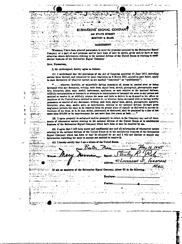# SUBMARINE SIGNAL COMPANY Tujur in lin

۰.

 $\frac{1}{2}$  ,  $\frac{1}{2}$  ,  $\frac{1}{2}$ 

المارا والتنافذ

 $\mathbf{y}$  and  $\mathbf{y}$ 

والمحافظة

 $\mathbb{Z}_+$ 

 $\sim 10$ 

나중은 정확하

 $\sim 10^{10}$  m

le,

 $\overline{\mathbb{Z}}$ 

 $\frac{1}{2} \sum_{i=1}^n \left( \frac{1}{2} \right)^2 \left( \frac{1}{2} \right)^2 \left( \frac{1}{2} \right)^2 \left( \frac{1}{2} \right)^2 \left( \frac{1}{2} \right)^2 \left( \frac{1}{2} \right)^2$ 

وأواليا والم

**THE CONTRACTOR** 

يعوض ومصعب

 $\sim 10^{-1}$ 

 $\sim 10^{-1}$ 

ميرا

المواقع التواصيح المناس

والمحا

ل المراجع المراجع المراجع المراجع المراجع المراجع المراجع المراجع المراجع المراجع<br>المراجع

سع

72.3753

مارجان كالمسرعت

للزلمان فابتلينا وأستراك فالمستعيد الدعد

ورائعون بالمتبعة العامات

漢

ś

BOSTON 9, MASS

## ار محمد از ان<del>تخابات اور</del> دیدار از<br>او انتخابات به حمد محمد با ما در این<br>او انتخابات به در **AGREEMENT**

ا المعلم بين المعالجين.<br>الموارد المشاركة المحلول المستقبل المستقبل المحلول المستقبل المحلول المحلول المحلول ال<br>المستقبل المحلول المحلول المحلول المحلول المحلول المحلول المحلول المحلول المحلول المحلول المحلول المحلول المح<br> WHEREAS, I have been granted permission to enter the premises occupied by the Submarine Signal Company or a part of said premises and/or have been or may be shown, given snd/or have or may otherwise obtain information relating to the national defense of the United States or relating to comfidential business of the Submarine Signal Occupany.

#### Now, THERPOIS,

يتماز فيجيبا

 $\omega^2$ 

a na matsayin a shekarar 1980.<br>Matsayin a shekarar 2002

 $\mathcal{L}^{(1)}$ 

 $\frac{1}{12}$ 

 $\frac{1}{2} \mathcal{L} \mathcal{S}_2$ 

Ż

 $\mathcal{F}_{\mathcal{F}}$  ,  $\mathcal{F}_{\mathcal{F}}$  $\mathbb{R}^2$  $\mathcal{L}_{\mathcal{A}}$ 

 $\mathcal{L}_{\mathcal{A}}$ 

お気にとっ

 $2.4\%$  .

 $\ddot{\phantom{a}}$ 

74 چ జూర్లో<br>విధ ನಿಂದ⊽ ಸಾಧಿಕಾ<br>ಸಿಕ್ಕಿ ಸಿಕ್ಕಿ ಸಿಕ್ಕಿ ಸಿಕ್ಕಿ ಸಿಕ್ಕಿ ಸಿಕ್ಕಿ ಸಿಕ್ಕಿ ಸಿಕ್ಕಿ ಸಿಕ್ಕಿ ಸಿಕ್ಕಿ ಸಿಕ್ಕಿ ಸಿಕ್ಕಿ ಸಿಕ್ಕಿ ಸಿಕ್ಕಿ ಸಿಕ್ಕಿ ಸಿಕ್ಕ

 $\sim 10^{-1}$ 

یب د سا

**化**反应

 $\sim$   $\sim$   $\sim$ 

÷.,

ني<br>براج

43

ا جا قد

 $\begin{array}{c} \begin{array}{c} 1 \\ 1 \end{array} & \begin{array}{c} 1 \\ 1 \end{array} & \begin{array}{c} 1 \\ 1 \end{array} & \begin{array}{c} 1 \\ 1 \end{array} & \begin{array}{c} 1 \\ 1 \end{array} & \begin{array}{c} 1 \\ 1 \end{array} & \begin{array}{c} 1 \\ 1 \end{array} & \begin{array}{c} 1 \\ 1 \end{array} & \begin{array}{c} 1 \\ 1 \end{array} & \begin{array}{c} 1 \\ 1 \end{array} & \begin{array}{c} 1 \\ 1 \end{array} & \begin{array}{c} 1 \\ 1 \end{$ 

 $\mathcal{L}_{\text{max}}$ 

بالداري وليتهم

مواري الأولاء

داني آهي.<br>البحير

MA.

ل ن€ر لونځ ل

<u> ಬಾಕು ಭಾ</u>  $\mathcal{P}_{\mathcal{P}_{\mathcal{P}}}\left( \mathcal{P}_{\mathcal{P}}\right)$ 

نصمنا  $\geq$ 

والمنافذ  $\begin{array}{ll} \alpha & \beta & \alpha \\ \alpha & \beta & \alpha \\ \beta & \beta & \alpha \\ \end{array},$ 

المواليين

v.

 $\sim$  100  $\sim$ 

RAGANINA SERIKUTANA<br>KABUPATEN TERRANG T

والمتحدث المتوجب المتع

Germani<br>Germani

والرابطينين للعربين فالرادي المرتبين

 $20004225522$ 

 $\mathbb{R}^2$  $\sim$  $\frac{1}{\sqrt{2}}$  .  $\sim 10^{-1}$ 

٠.

**Contract** 

تقد

 $\overline{c}$ 

ł.

Ŧ

ŧ

ŧ

 $\mathbf{C}$ 

 $\sim$ 

۷۵ و. ا. *پاست* تان<del>ده</del>.

fari<br>Est

#### 1, the undersigned, hereby agree as follows:

(1) I understand that the provisions of the Act of Congress approved 15 June 1917, including section three thereof, and reenacted by joint resolution on 3 March 1921, quoted in part below, apply to such documents of whatever nature as are marked "restricted" or "confidential":

"... whoever, lawfully, or unlawfully having pomention of, access to, control over, or being intrusted with any document, writing, each book, signal book, aketch, photograph, photographic negative, blueprint, plan, map. model, instrument, appliance, or note relative to the national defense, willfully communicates or transmits or attempts to communicate or transmit the same to any person not entitled to receive it, or willfully retains the same and fails to deliver it on demand to the officer or employee of the United States entitled to receive it; or whoever, being intrusted with or having lawful possession or control of any dorument, writing, eade book, signal book, sketch, photographic seguitive, bloeprint, plan, map, model, note, or information, relating to the national defense, through gross megligence permits the same to be removed from its proper place of custody or delivered to anyone in violation of his true, or to be lost, ecolon, abstracted, or destroyed, shall be punished by a fine of not more than \$10,000 or by imprisonment for not more than two years, or hoth . . . "  $\sim$ **Committee Latin** 

(2) I agree properly to safeguard and/or promptly to return to the Company any and all documents of whatsoever nature relating to the national defense of the United States or to confidential. business of the Submarine Signal Company which have been or may be received by me.

(3) I agree that I will keep secret and confidential any and all information of whatsoever nature . When a set the selecting to the national defense of the United States or to the confidential business of the Submarine sections. Signal Company which has been or may be obtained by me and I will not disclose or supply any information regarding the same to anyone not entitled to receive it. الدائفة أأرجال  $\sim$   $\sim$   $\sim$ 

 $\sum_{k \in \mathcal{A}_0}^{\infty}$  (4) I hereby certify that I am a citizen of the United States. الارتباطية بعدائه  $\mathcal{L}^{\mathcal{L}}$  . ಸುಮಾರ್ ಎಂದು ಮಾಡಿ Day 16 1945 لمنادره شدا بالحراء وإيشاطيا والإفراقية إبار بنجاء - ಸೌಂ Do <u>NAME</u> ر<br>د مولد د هم د مول las **Riened** Witnes: ting<br>Papa p 41 Linnaean Ji. (AMBRIDAF Address: ತ್ರಿ ಕನ್ನ المايم **Exit** ÷

Employer:

Position :

state of the co

 $\sim$   $\sim$ 

 $\ddot{\phantom{0}}$ 

known with states and an employee of the Submarine Signal Company, please fill in the following: "What

÷.

.<br>اب